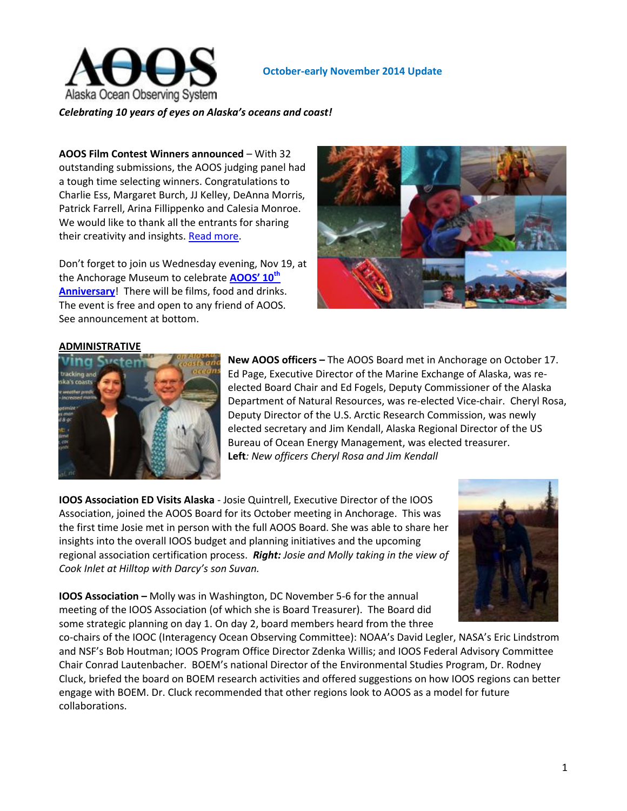

#### **October-early November 2014 Update**

*Celebrating 10 years of eyes on Alaska's oceans and coast!*

**AOOS Film Contest Winners announced** – With 32 outstanding submissions, the AOOS judging panel had a tough time selecting winners. Congratulations to Charlie Ess, Margaret Burch, JJ Kelley, DeAnna Morris, Patrick Farrell, Arina Fillippenko and Calesia Monroe. We would like to thank all the entrants for sharing their creativity and insights. [Read more.](mailto:http://www.aoos.org/aoos-announces-short-film-contest-winners/)

Don't forget to join us Wednesday evening, Nov 19, at the Anchorage Museum to celebrate **[AOOS' 10](mailto:http://www.aoos.org/save-the-date-aoos-10th-anniversary-celebration-nov-19th/)th [Anniversary](mailto:http://www.aoos.org/save-the-date-aoos-10th-anniversary-celebration-nov-19th/)**! There will be films, food and drinks. The event is free and open to any friend of AOOS. See announcement at bottom.



#### **ADMINISTRATIVE**



**New AOOS officers –** The AOOS Board met in Anchorage on October 17. Ed Page, Executive Director of the Marine Exchange of Alaska, was reelected Board Chair and Ed Fogels, Deputy Commissioner of the Alaska Department of Natural Resources, was re-elected Vice-chair. Cheryl Rosa, Deputy Director of the U.S. Arctic Research Commission, was newly elected secretary and Jim Kendall, Alaska Regional Director of the US Bureau of Ocean Energy Management, was elected treasurer. **Left***: New officers Cheryl Rosa and Jim Kendall*

**IOOS Association ED Visits Alaska** - Josie Quintrell, Executive Director of the IOOS Association, joined the AOOS Board for its October meeting in Anchorage. This was the first time Josie met in person with the full AOOS Board. She was able to share her insights into the overall IOOS budget and planning initiatives and the upcoming regional association certification process. *Right: Josie and Molly taking in the view of Cook Inlet at Hilltop with Darcy's son Suvan.* 



**IOOS Association –** Molly was in Washington, DC November 5-6 for the annual meeting of the IOOS Association (of which she is Board Treasurer). The Board did some strategic planning on day 1. On day 2, board members heard from the three

co-chairs of the IOOC (Interagency Ocean Observing Committee): NOAA's David Legler, NASA's Eric Lindstrom and NSF's Bob Houtman; IOOS Program Office Director Zdenka Willis; and IOOS Federal Advisory Committee Chair Conrad Lautenbacher. BOEM's national Director of the Environmental Studies Program, Dr. Rodney Cluck, briefed the board on BOEM research activities and offered suggestions on how IOOS regions can better engage with BOEM. Dr. Cluck recommended that other regions look to AOOS as a model for future collaborations.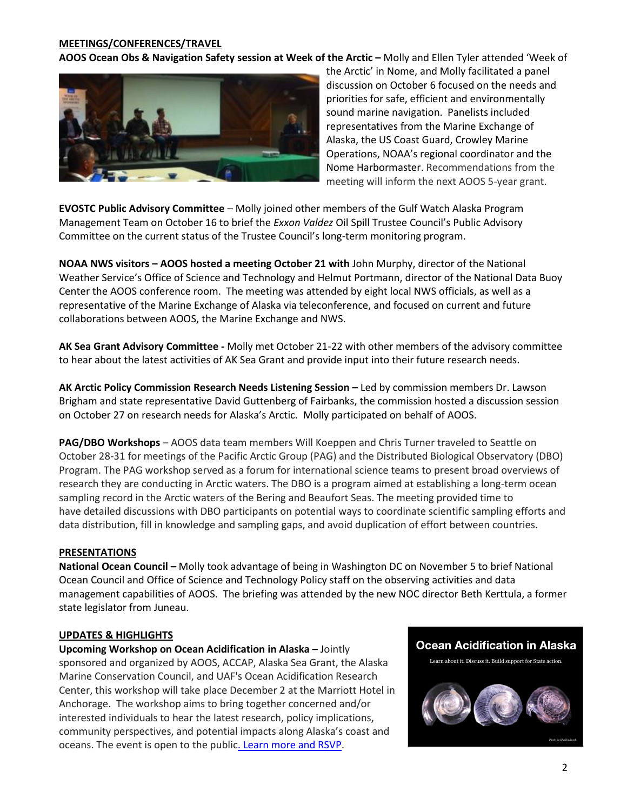## **MEETINGS/CONFERENCES/TRAVEL**

**AOOS Ocean Obs & Navigation Safety session at Week of the Arctic - Molly and Ellen Tyler attended 'Week of** 



the Arctic' in Nome, and Molly facilitated a panel discussion on October 6 focused on the needs and priorities for safe, efficient and environmentally sound marine navigation. Panelists included representatives from the Marine Exchange of Alaska, the US Coast Guard, Crowley Marine Operations, NOAA's regional coordinator and the Nome Harbormaster. Recommendations from the meeting will inform the next AOOS 5-year grant.

**EVOSTC Public Advisory Committee** – Molly joined other members of the Gulf Watch Alaska Program Management Team on October 16 to brief the *Exxon Valdez* Oil Spill Trustee Council's Public Advisory Committee on the current status of the Trustee Council's long-term monitoring program.

**NOAA NWS visitors – AOOS hosted a meeting October 21 with** John Murphy, director of the National Weather Service's Office of Science and Technology and Helmut Portmann, director of the National Data Buoy Center the AOOS conference room. The meeting was attended by eight local NWS officials, as well as a representative of the Marine Exchange of Alaska via teleconference, and focused on current and future collaborations between AOOS, the Marine Exchange and NWS.

**AK Sea Grant Advisory Committee -** Molly met October 21-22 with other members of the advisory committee to hear about the latest activities of AK Sea Grant and provide input into their future research needs.

**AK Arctic Policy Commission Research Needs Listening Session –** Led by commission members Dr. Lawson Brigham and state representative David Guttenberg of Fairbanks, the commission hosted a discussion session on October 27 on research needs for Alaska's Arctic. Molly participated on behalf of AOOS.

**PAG/DBO Workshops** – AOOS data team members Will Koeppen and Chris Turner traveled to Seattle on October 28-31 for meetings of the Pacific Arctic Group (PAG) and the Distributed Biological Observatory (DBO) Program. The PAG workshop served as a forum for international science teams to present broad overviews of research they are conducting in Arctic waters. The DBO is a program aimed at establishing a long-term ocean sampling record in the Arctic waters of the Bering and Beaufort Seas. The meeting provided time to have detailed discussions with DBO participants on potential ways to coordinate scientific sampling efforts and data distribution, fill in knowledge and sampling gaps, and avoid duplication of effort between countries.

## **PRESENTATIONS**

**National Ocean Council –** Molly took advantage of being in Washington DC on November 5 to brief National Ocean Council and Office of Science and Technology Policy staff on the observing activities and data management capabilities of AOOS. The briefing was attended by the new NOC director Beth Kerttula, a former state legislator from Juneau.

#### **UPDATES & HIGHLIGHTS**

**Upcoming Workshop on Ocean Acidification in Alaska –** Jointly sponsored and organized by AOOS, ACCAP, Alaska Sea Grant, the Alaska Marine Conservation Council, and UAF's Ocean Acidification Research Center, this workshop will take place December 2 at the Marriott Hotel in Anchorage. The workshop aims to bring together concerned and/or interested individuals to hear the latest research, policy implications, community perspectives, and potential impacts along Alaska's coast and oceans. The event is open to the publi[c. Learn more and RSVP.](mailto:http://www.aoos.org/ocean-acidification-workshop/)